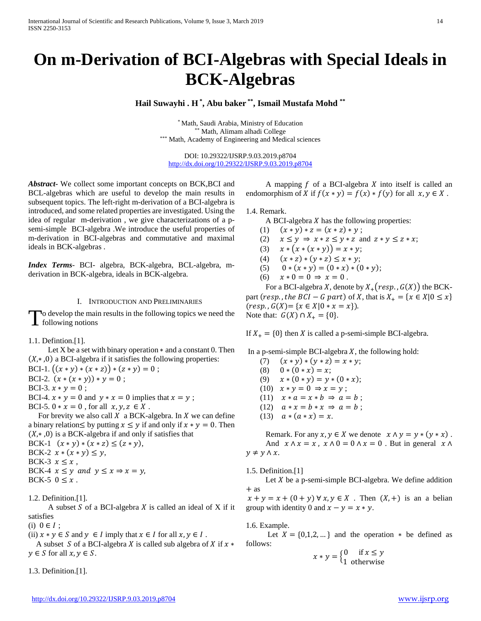# **On m-Derivation of BCI-Algebras with Special Ideals in BCK-Algebras**

**Hail Suwayhi . H \* , Abu baker \*\*, Ismail Mustafa Mohd \*\***

\* Math, Saudi Arabia, Ministry of Education \*\* Math, Alimam alhadi College \*\*\* Math, Academy of Engineering and Medical sciences

DOI: 10.29322/IJSRP.9.03.2019.p8704 <http://dx.doi.org/10.29322/IJSRP.9.03.2019.p8704>

*Abstract***-** We collect some important concepts on BCK,BCI and BCL-algebras which are useful to develop the main results in subsequent topics. The left-right m-derivation of a BCI-algebra is introduced, and some related properties are investigated. Using the idea of regular m-derivation , we give characterizations of a psemi-simple BCI-algebra .We introduce the useful properties of m-derivation in BCI-algebras and commutative and maximal ideals in BCK-algebras .

*Index Terms*- BCI- algebra, BCK-algebra, BCL-algebra, mderivation in BCK-algebra, ideals in BCK-algebra.

## I. INTRODUCTION AND PRELIMINARIES

o develop the main results in the following topics we need the To develop the main<br>following notions

## 1.1. Defintion.[1].

Let X be a set with binary operation  $*$  and a constant 0. Then  $(X, *0)$  a BCI-algebra if it satisfies the following properties:

- BCI-1.  $((x * y) * (x * z)) * (z * y) = 0$ ;
- BCI-2.  $(x * (x * y)) * y = 0$ ;
- BCI-3.  $x * y = 0$ ;
- BCI-4.  $x * y = 0$  and  $y * x = 0$  implies that  $x = y$ ;
- BCI-5.  $0 * x = 0$ , for all  $x, y, z \in X$ .

For brevity we also call  $X$  a BCK-algebra. In  $X$  we can define a binary relation  $\leq$  by putting  $x \leq y$  if and only if  $x * y = 0$ . Then  $(X, * , 0)$  is a BCK-algebra if and only if satisfies that

BCK-1  $(x * y) * (x * z) \leq (z * y),$ 

BCK-2  $x * (x * y) \leq y$ ,

BCK-3  $x \leq x$ ,

BCK-4  $x \leq y$  and  $y \leq x \Rightarrow x = y$ ,

A subset  $S$  of a BCI-algebra  $X$  is called an ideal of  $X$  if it satisfies

(i)  $0 \in I$ ;

(ii)  $x * y \in S$  and  $y \in I$  imply that  $x \in I$  for all  $x, y \in I$ .

A subset S of a BCI-algebra X is called sub algebra of X if  $x *$  $y \in S$  for all  $x, y \in S$ .

1.3. Definition.[1].

A mapping  $f$  of a BCI-algebra  $X$  into itself is called an endomorphism of *X* if  $f(x * y) = f(x) * f(y)$  for all  $x, y \in X$ .

1.4. Remark.

A BCI-algebra *X* has the following properties:<br>(1)  $(x * y) * z = (x * z) * y$ ;

- (1)  $(x * y) * z = (x * z) * y;$ <br>(2)  $x \le y \Rightarrow x * z \le y * z$  and
- $x \leq y \Rightarrow x * z \leq y * z$  and  $z * y \leq z * x$ ;
- (3)  $x * (x * (x * y)) = x * y;$
- (4)  $(x * z) * (y * z) \le x * y;$ <br>(5)  $0 * (x * y) = (0 * x) * (0 * y)$
- (5)  $0 * (x * y) = (0 * x) * (0 * y);$ <br>(6)  $x * 0 = 0 \Rightarrow x = 0.$
- $x * 0 = 0 \Rightarrow x = 0$ .

For a BCI-algebra X, denote by  $X_+(resp., G(X))$  the BCKpart (resp., the BCI – G part) of X, that is  $X_+ = \{x \in X | 0 \le x\}$  $(resp., G(X) = \{x \in X | 0 * x = x\}.$ Note that:  $G(X) \cap X_+ = \{0\}.$ 

If  $X_+ = \{0\}$  then X is called a p-semi-simple BCI-algebra.

In a p-semi-simple BCI-algebra  $X$ , the following hold:

(7)  $(x * y) * (y * z) = x * y;$ (8)  $0 * (0 * x) = x;$ (9)  $x * (0 * y) = y * (0 * x);$ (10)  $x * y = 0 \Rightarrow x = y;$ (11)  $x * a = x * b \Rightarrow a = b;$ (12)  $a * x = b * x \Rightarrow a = b$ ; (13)  $a * (a * x) = x$ .

Remark. For any  $x, y \in X$  we denote  $x \wedge y = y * (y * x)$ . And  $x \wedge x = x$ ,  $x \wedge 0 = 0 \wedge x = 0$ . But in general  $x \wedge x = x$ .  $y \neq y \land x$ .

1.5. Definition.[1]

Let  $X$  be a p-semi-simple BCI-algebra. We define addition + as

 $x + y = x + (0 + y) \forall x, y \in X$ . Then  $(X, +)$  is an a belian group with identity 0 and  $x - y = x * y$ .

1.6. Example.

Let  $X = \{0,1,2,...\}$  and the operation  $*$  be defined as follows:

$$
x * y = \begin{cases} 0 & \text{if } x \le y \\ 1 & \text{otherwise} \end{cases}
$$

BCK-5  $0 \leq x$ .

<sup>1.2.</sup> Definition.[1].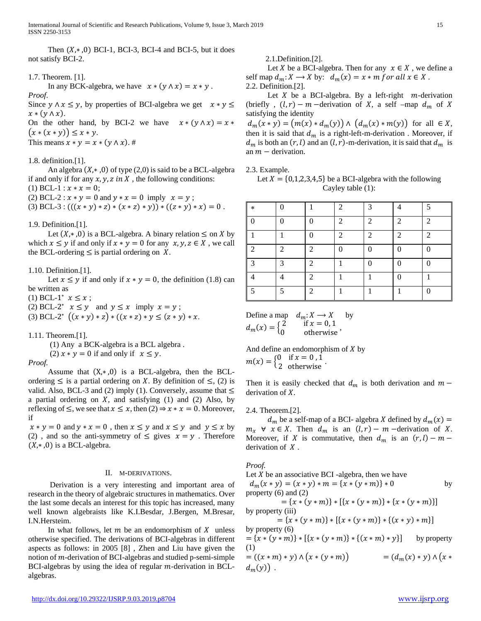Then  $(X, * , 0)$  BCI-1, BCI-3, BCI-4 and BCI-5, but it does not satisfy BCI-2.

## 1.7. Theorem. [1].

In any BCK-algebra, we have  $x * (y \wedge x) = x * y$ .

*Proof*. Since  $y \wedge x \leq y$ , by properties of BCI-algebra we get  $x * y \leq y$  $x * (y \wedge x).$ 

On the other hand, by BCI-2 we have  $x * (y \wedge x) = x *$  $(x * (x * y)) \leq x * y$ .

This means  $x * y = x * (y \wedge x)$ . #

1.8. definition.[1].

An algebra  $(X, * , 0)$  of type  $(2,0)$  is said to be a BCL-algebra if and only if for any  $x, y, z$  in X, the following conditions: (1) BCL-1 :  $x * x = 0$ ;

(2) BCL-2 :  $x * y = 0$  and  $y * x = 0$  imply  $x = y$ ;

(3) BCL-3 :  $(((x * y) * z) * (x * z) * y)) * ((z * y) * x) = 0$ .

1.9. Definition.[1].

Let  $(X, * , 0)$  is a BCL-algebra. A binary relation  $\leq$  on X by which  $x \leq y$  if and only if  $x * y = 0$  for any  $x, y, z \in X$ , we call the BCL-ordering  $\leq$  is partial ordering on X.

1.10. Definition.[1].

Let  $x \leq y$  if and only if  $x * y = 0$ , the definition (1.8) can be written as

(1) BCL-1<sup>∗</sup>  $x \le x$ ;

(2) BCL-2<sup>∗</sup>  $x \leq y$  and  $y \leq x$  imply  $x = y$ ;

(3) BCL-2<sup>\*</sup>  $((x * y) * z) * ((x * z) * y \leq (z * y) * x$ .

1.11. Theorem.[1].

 (1) Any a BCK-algebra is a BCL algebra . (2)  $x * y = 0$  if and only if  $x \le y$ .

*Proof.* 

Assume that  $(X, *0)$  is a BCL-algebra, then the BCLordering  $\leq$  is a partial ordering on X. By definition of  $\leq$ , (2) is valid. Also, BCL-3 and (2) imply (1). Conversely, assume that  $\leq$ a partial ordering on  $X$ , and satisfying (1) and (2) Also, by reflexing of  $\leq$ , we see that  $x \leq x$ , then  $(2) \Rightarrow x * x = 0$ . Moreover, if

 $x * y = 0$  and  $y * x = 0$ , then  $x \le y$  and  $x \le y$  and  $y \le x$  by (2), and so the anti-symmetry of  $\leq$  gives  $x = y$ . Therefore  $(X, * , 0)$  is a BCL-algebra.

## II. M-DERIVATIONS.

 Derivation is a very interesting and important area of research in the theory of algebraic structures in mathematics. Over the last some decals an interest for this topic has increased, many well known algebraists like K.I.Besdar, J.Bergen, M.Bresar, I.N.Hersteim.

In what follows, let  $m$  be an endomorphism of  $X$  unless otherwise specified. The derivations of BCI-algebras in different aspects as follows: in 2005 [8] , Zhen and Liu have given the notion of  $m$ -derivation of BCI-algebras and studied p-semi-simple BCI-algebras by using the idea of regular  $m$ -derivation in BCLalgebras.

2.1.Definition.[2].

Let *X* be a BCI-algebra. Then for any  $x \in X$ , we define a self map  $d_m: X \to X$  by:  $d_m(x) = x * m$  for all  $x \in X$ . 2.2. Definition.[2].

Let  $X$  be a BCI-algebra. By a left-right  $m$ -derivation

(briefly,  $(l, r) - m$  –derivation of X, a self –map  $d_m$  of X satisfying the identity  $d_m(x * y) = (m(x) * d_m(y)) \wedge (d_m(x) * m(y))$  for all  $\in X$ , then it is said that  $d_m$  is a right-left-m-derivation . Moreover, if  $d_m$  is both an  $(r, l)$  and an  $(l, r)$ -m-derivation, it is said that  $d_m$  is

2.3. Example.

an  $m -$  derivation.

Let  $X = \{0,1,2,3,4,5\}$  be a BCI-algebra with the following Cayley table (1):

| $\star$        | ∩        |                | $\mathcal{D}_{\mathcal{L}}$ | 3              |                | 5              |
|----------------|----------|----------------|-----------------------------|----------------|----------------|----------------|
|                | $\Omega$ | ∩              | $\mathcal{D}_{\mathcal{A}}$ | $\mathfrak{D}$ | $\mathfrak{D}$ | $\overline{2}$ |
|                | 1        | 0              | $\mathcal{D}_{\mathcal{A}}$ | 2              | $\mathfrak{D}$ | 2              |
| ി              | 2        | $\overline{2}$ | $\Omega$                    | 0              | $\Omega$       | 0              |
| $\mathfrak{D}$ | 3        | 2              | 1                           | 0              | 0              | 0              |
|                |          | 2              | 1                           | 1              | $\Omega$       |                |
|                | 5        | $\mathfrak{D}$ |                             |                |                | 0              |

Define a map 
$$
d_m: X \to X
$$
 by  
\n $d_m(x) = \begin{cases} 2 & \text{if } x = 0, 1 \\ 0 & \text{otherwise} \end{cases}$ ,

And define an endomorphism of  $X$  by  $m(x) = \begin{cases} 0 & \text{if } x = 0, 1 \\ 2 & \text{otherwise} \end{cases}$ .

Then it is easily checked that  $d_m$  is both derivation and  $m$ derivation of  $X$ .

## 2.4. Theorem.[2].

 $d_m$  be a self-map of a BCI- algebra X defined by  $d_m(x) =$  $m_x \forall x \in X$ . Then  $d_m$  is an  $(l, r) - m$  -derivation of X. Moreover, if X is commutative, then  $d_m$  is an  $(r, l) - m$ derivation of  $X$ .

## *Proof.*

Let  $X$  be an associative BCI -algebra, then we have  $d_m(x * y) = (x * y) * m = \{x * (y * m)\} * 0$  by property (6) and (2)  $= \{x * (y * m)\} * [\{x * (y * m)\} * \{x * (y * m)\}]$ by property (iii)  $= \{x * (y * m)\} * [\{x * (y * m)\} * \{(x * y) * m\}]$ by property (6)  $= {x * (y * m)} * [{x * (y * m)} * {(x * m) * y}]$  by property (1)  $= ((x * m) * y) \wedge (x * (y * m))$   $= (d_m(x) * y) \wedge (x *$  $d_m(y)$ .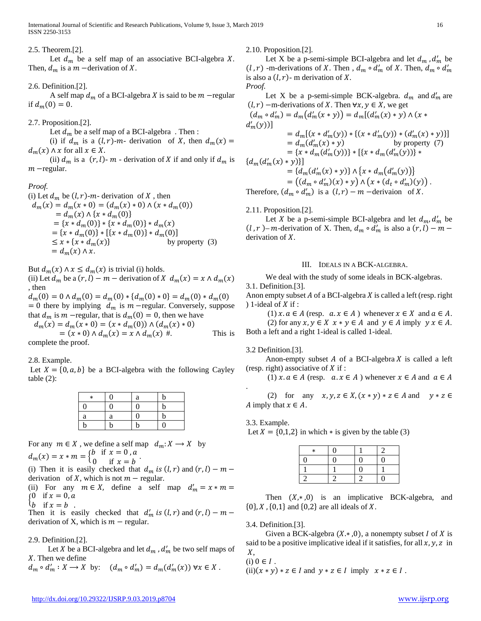Let  $d_m$  be a self map of an associative BCI-algebra X. Then,  $d_m$  is a  $m$  –derivation of X.

## 2.6. Definition.[2].

A self map  $d_m$  of a BCI-algebra X is said to be  $m$  –regular if  $d_m(0) = 0$ .

## 2.7. Proposition.[2].

Let  $d_m$  be a self map of a BCI-algebra. Then :

(i) if  $d_m$  is a  $(l, r)$ -m- derivation of X, then  $d_m(x)$  =  $d_m(x) \wedge x$  for all  $x \in X$ .

(ii)  $d_m$  is a  $(r, l)$ -  $m$  - derivation of X if and only if  $d_m$  is −regular.

## *Proof.*

(i) Let  $d_m$  be  $(l, r)$ -m- derivation of X, then  $d_m(x) = d_m(x * 0) = (d_m(x) * 0) \wedge (x * d_m(0))$  $= d_m(x) \wedge \{x * d_m(0)\}\$  $=\{x * d_m(0)\} * \{x * d_m(0)\} * d_m(x)$ = { $x * d_m(0)$ } \* [{ $x * d_m(0)$ } \*  $d_m(0)$ ]<br>  $\le x * {x * d_m(x)}$  by property (3)  $\leq x * \{x * d_m(x)\}\$  $= d_m(x) \wedge x$ .

But  $d_m(x) \wedge x \leq d_m(x)$  is trivial (i) holds.

(ii) Let  $d_m$  be a  $(r, l) - m$  – derivation of  $X$   $d_m(x) = x \wedge d_m(x)$ , then

 $d_m(0) = 0 \wedge d_m(0) = d_m(0) * {d_m(0) * 0} = d_m(0) * d_m(0)$ = 0 there by implying  $d_m$  is  $m$  –regular. Conversely, suppose that  $d_m$  is  $m$  –regular, that is  $d_m(0) = 0$ , then we have

 $d_m(x) = d_m(x \times 0) = (x \times d_m(0)) \wedge (d_m(x) \times 0)$  $=(x * 0) \wedge d_m(x) = x \wedge d_m(x) #.$  This is complete the proof.

2.8. Example.

Let  $X = \{0, a, b\}$  be a BCI-algebra with the following Cayley table  $(2)$ :

| $\ast$   | 0 | a              | b |
|----------|---|----------------|---|
| $\Omega$ | 0 | $\overline{0}$ | b |
| a        | а | 0              | b |
| h        | b | b              | 0 |

For any  $m \in X$ , we define a self map  $d_m: X \to X$  by

 $m(x) = x * m = \begin{cases} b & \text{if } x = 0, a \\ 0 & \text{if } x = b \end{cases}.$ 

(i) Then it is easily checked that  $d_m$  is  $(l, r)$  and  $(r, l) - m$ derivation of X, which is not  $m$  – regular.

(ii) For any  $m \in X$ , define a self map  $d'_m = x * m =$  $\int 0$  if  $x = 0, a$ 

 $\iota_b$  if  $x = b$ .

(b) if  $x = b$ <br>
Then it is easily checked that  $d'_m$  is  $(l, r)$  and  $(r, l) - m$  – derivation of X, which is  $m$  – regular.

# 2.9. Definition.[2].

Let *X* be a BCI-algebra and let  $d_m$ ,  $d'_m$  be two self maps of X. Then we define

$$
d_m \circ d'_m : X \to X \text{ by: } (d_m \circ d'_m) = d_m(d'_m(x)) \forall x \in X.
$$

2.10. Proposition.[2].

Let X be a p-semi-simple BCI-algebra and let  $d_m$ ,  $d'_m$  be  $(l, r)$  -m-derivations of X. Then,  $d_m \circ d'_m$  of X. Then,  $d_m \circ d'_m$ is also a  $(l, r)$ - m derivation of X. *Proof.* 

Let X be a p-semi-simple BCK-algebra.  $d_m$  and  $d'_m$  are  $(l, r)$  –m-derivations of X. Then  $\forall x, y \in X$ , we get

$$
(d_m \circ d'_m) = d_m(d'_m(x * y)) = d_m[(d'_m(x) * y) \land (x * d'_m(y))]
$$
  
\n
$$
= d_m[(x * d'_m(y)) * \{(x * d'_m(y)) * (d'_m(x) * y)\}]
$$
  
\n
$$
= d_m(d'_m(x) * y)
$$
by property (7)  
\n
$$
= \{x * d_m(d'_m(y))\} * \{\{x * d_m(d'_m(y))\} * \{d_m(d'_m(x) * y)\}\}]
$$
  
\n
$$
= \{d_m(d'_m(x) * y)\} \land \{x * d_m(d'_m(y))\}
$$
  
\n
$$
= ((d_m \circ d'_m)(x) * y) \land (x * (d_t \circ d'_m)(y))
$$
.  
\nTherefore,  $(d_m \circ d'_m)$  is a  $(l, r) - m$ -derivation of X.

2.11. Proposition.[2].

Let X be a p-semi-simple BCI-algebra and let  $d_m, d'_m$  be  $(l, r)$ – m-derivation of X. Then,  $d_m \circ d'_m$  is also a  $(r, l)$  –  $m$  – derivation of  $X$ .

## III. IDEALS IN A BCK-ALGEBRA.

 We deal with the study of some ideals in BCK-algebras. 3.1. Definition.[3].

Anon empty subset  $A$  of a BCI-algebra  $X$  is called a left (resp. right ) 1-ideal of  $X$  if :

(1)  $x \cdot a \in A$  (resp.  $a \cdot x \in A$ ) whenever  $x \in X$  and  $a \in A$ . (2) for any  $x, y \in X$   $x * y \in A$  and  $y \in A$  imply  $y x \in A$ . Both a left and a right 1-ideal is called 1-ideal.

3.2 Definition.[3].

Anon-empty subset A of a BCI-algebra X is called a left (resp. right) associative of  $X$  if :

(1)  $x \cdot a \in A$  (resp.  $a \cdot x \in A$ ) whenever  $x \in A$  and  $a \in A$ 

(2) for any  $x, y, z \in X$ ,  $(x * y) * z \in A$  and  $y * z \in A$ A imply that  $x \in A$ .

3.3. Example.

.

Let  $X = \{0,1,2\}$  in which  $*$  is given by the table (3)

| $\ast$ | 0 |    |  |
|--------|---|----|--|
| 0      | 0 | ∩  |  |
|        |   | וו |  |
|        |   |    |  |

Then  $(X, *, 0)$  is an implicative BCK-algebra, and  $\{0\}, X$ ,  $\{0,1\}$  and  $\{0,2\}$  are all ideals of X.

3.4. Definition.[3].

Given a BCK-algebra  $(X, * , 0)$ , a nonempty subset I of X is said to be a positive implicative ideal if it satisfies, for all  $x, y, z$  in  $X,$ 

(i)  $0 \in I$ .

(ii) $(x * y) * z \in I$  and  $y * z \in I$  imply  $x * z \in I$ .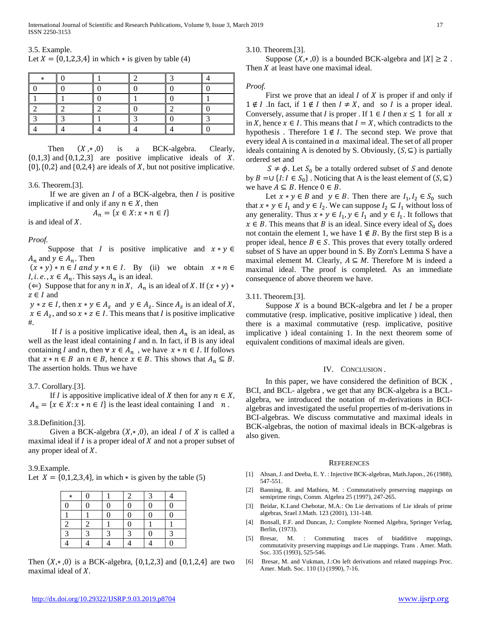| 3.5. Example.                                              |  |
|------------------------------------------------------------|--|
| Let $X = \{0,1,2,3,4\}$ in which $*$ is given by table (4) |  |

|                          | the control of the control of the control of |                                                                                                                         |  |
|--------------------------|----------------------------------------------|-------------------------------------------------------------------------------------------------------------------------|--|
|                          |                                              | _____                                                                                                                   |  |
| $\overline{\phantom{a}}$ |                                              | <u> The Communication of the Communication of the Communication of the Communication of the Communication of the Co</u> |  |
|                          |                                              |                                                                                                                         |  |
|                          |                                              |                                                                                                                         |  |
|                          |                                              |                                                                                                                         |  |

Then  $(X, *0)$  is a BCK-algebra. Clearly,  $\{0,1,3\}$  and  $\{0,1,2,3\}$  are positive implicative ideals of X.  $\{0\}, \{0,2\}$  and  $\{0,2,4\}$  are ideals of X, but not positive implicative.

3.6. Theorem.[3].

If we are given an  $I$  of a BCK-algebra, then  $I$  is positive implicative if and only if any  $n \in X$ , then

$$
A_n = \{x \in X : x * n \in I\}
$$

is and ideal of  $X$ .

## *Proof.*

Suppose that *I* is positive implicative and  $x * y \in$  $A_n$  and  $y \in A_n$ . Then

 $(x * y) * n \in I$  and  $y * n \in I$ . By (ii) we obtain  $x * n \in I$ *I*, *i.e.*,  $x \in A_n$ . This says  $A_n$  is an ideal.

(∈) Suppose that for any *n* in *X*,  $A_n$  is an ideal of *X*. If  $(x * y) *$  $z \in I$  and

 $y * z \in I$ , then  $x * y \in A_z$  and  $y \in A_z$ . Since  $A_z$  is an ideal of X,  $x \in A_z$ , and so  $x * z \in I$ . This means that I is positive implicative #.

If *I* is a positive implicative ideal, then  $A_n$  is an ideal, as well as the least ideal containing  $I$  and n. In fact, if  $B$  is any ideal containing I and n, then  $\forall x \in A_n$ , we have  $x * n \in I$ . If follows that  $x * n \in B$  an  $n \in B$ , hence  $x \in B$ . This shows that  $A_n \subseteq B$ . The assertion holds. Thus we have

## 3.7. Corollary.[3].

If *I* is appositive implicative ideal of *X* then for any  $n \in X$ ,  $A_n = \{x \in X : x * n \in I\}$  is the least ideal containing I and n.

3.8.Definition.[3].

Given a BCK-algebra  $(X, * , 0)$ , an ideal I of X is called a maximal ideal if  $I$  is a proper ideal of  $X$  and not a proper subset of any proper ideal of  $X$ .

3.9.Example.

Let  $X = \{0,1,2,3,4\}$ , in which  $*$  is given by the table (5)

| $\ast$           | 0 |   |                  |                  |   |
|------------------|---|---|------------------|------------------|---|
| 0                | 0 |   | $\boldsymbol{0}$ | $\boldsymbol{0}$ |   |
|                  |   |   | $\boldsymbol{0}$ | $\overline{0}$   |   |
| $\boldsymbol{2}$ |   |   | $\overline{0}$   |                  |   |
|                  | 3 | 2 | 3                | $\boldsymbol{0}$ | 3 |
|                  |   |   |                  |                  |   |

Then  $(X, * , 0)$  is a BCK-algebra,  $\{0, 1, 2, 3\}$  and  $\{0, 1, 2, 4\}$  are two maximal ideal of  $X$ .

3.10. Theorem.[3].

Suppose  $(X, * , 0)$  is a bounded BCK-algebra and  $|X| \ge 2$ . Then  $X$  at least have one maximal ideal.

## *Proof.*

First we prove that an ideal  $I$  of  $X$  is proper if and only if  $1 \notin I$  . In fact, if  $1 \notin I$  then  $I \neq X$ , and so *I* is a proper ideal. Conversely, assume that *I* is proper . If  $1 \in I$  then  $x \le 1$  for all x in X, hence  $x \in I$ . This means that  $I = X$ , which contradicts to the hypothesis. Therefore  $1 \notin I$ . The second step. We prove that every ideal A is contained in  $\alpha$  maximal ideal. The set of all proper ideals containing A is denoted by S. Obviously,  $(S, \subseteq)$  is partially ordered set and

 $S \neq \phi$ . Let  $S_0$  be a totally ordered subset of S and denote by  $B = \cup \{I : I \in S_0\}$ . Noticing that A is the least element of  $(S, \subseteq)$ we have  $A \subseteq B$ . Hence  $0 \in B$ .

Let  $x * y \in B$  and  $y \in B$ . Then there are  $I_1, I_2 \in S_0$  such that  $x * y \in I_1$  and  $y \in I_2$ . We can suppose  $I_2 \subseteq I_1$  without loss of any generality. Thus  $x * y \in I_1$ ,  $y \in I_1$  and  $y \in I_1$ . It follows that  $x \in B$ . This means that B is an ideal. Since every ideal of  $S_0$  does not contain the element 1, we have  $1 \notin B$ . By the first step B is a proper ideal, hence  $B \in S$ . This proves that every totally ordered subset of S have an upper bound in S. By Zorn's Lemma S have a maximal element M. Clearly,  $A \subseteq M$ . Therefore M is indeed a maximal ideal. The proof is completed. As an immediate consequence of above theorem we have.

## 3.11. Theorem.[3].

Suppose  $X$  is a bound BCK-algebra and let  $I$  be a proper commutative (resp. implicative, positive implicative ) ideal, then there is a maximal commutative (resp. implicative, positive implicative ) ideal containing 1. In the next theorem some of equivalent conditions of maximal ideals are given.

## IV. CONCLUSION .

 In this paper, we have considered the definition of BCK , BCI, and BCL- algebra , we get that any BCK-algebra is a BCLalgebra, we introduced the notation of m-derivations in BCIalgebras and investigated the useful properties of m-derivations in BCI-algebras. We discuss commutative and maximal ideals in BCK-algebras, the notion of maximal ideals in BCK-algebras is also given.

#### **REFERENCES**

- [1] Ahsan, J. and Deeba, E. Y. : Injective BCK-algebras, Math.Japon., 26 (1988), 547-551.
- Banning, R. and Mathieu, M. : Commutatively preserving mappings on semiprime rings, Comm. Algebra 25 (1997), 247-265.
- [3] Beidar, K.I.and Chebotar, M.A.: On Lie derivations of Lie ideals of prime algebras, Srael J.Math. 123 (2001), 131-148.
- [4] Bonsall, F.F. and Duncan, J,: Complete Normed Algebra, Springer Verlag, Berlin, (1973).
- [5] Bresar, M. : Commuting traces of biadditive mappings, commutativity preserving mappings and Lie mappings. Trans . Amer. Math. Soc. 335 (1993), 525-546.
- [6] Bresar, M. and Vukman, J.:On left derivations and related mappings Proc. Amer. Math. Soc. 110 (1) (1990), 7-16.